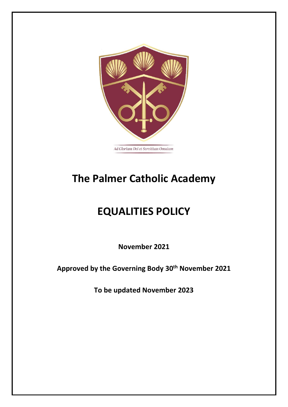

# **The Palmer Catholic Academy**

# **EQUALITIES POLICY**

**November 2021** 

**Approved by the Governing Body 30th November 2021**

**To be updated November 2023**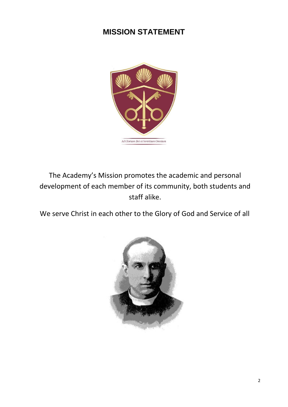# **MISSION STATEMENT**



The Academy's Mission promotes the academic and personal development of each member of its community, both students and staff alike.

We serve Christ in each other to the Glory of God and Service of all

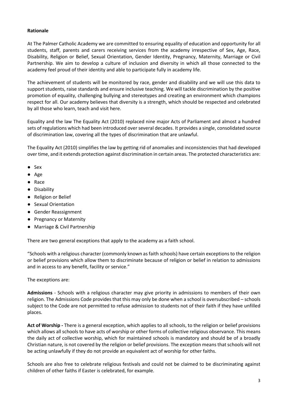#### **Rationale**

At The Palmer Catholic Academy we are committed to ensuring equality of education and opportunity for all students, staff, parents and carers receiving services from the academy irrespective of Sex, Age, Race, Disability, Religion or Belief, Sexual Orientation, Gender Identity, Pregnancy, Maternity, Marriage or Civil Partnership. We aim to develop a culture of inclusion and diversity in which all those connected to the academy feel proud of their identity and able to participate fully in academy life.

The achievement of students will be monitored by race, gender and disability and we will use this data to support students, raise standards and ensure inclusive teaching. We will tackle discrimination by the positive promotion of equality, challenging bullying and stereotypes and creating an environment which champions respect for all. Our academy believes that diversity is a strength, which should be respected and celebrated by all those who learn, teach and visit here.

Equality and the law The Equality Act (2010) replaced nine major Acts of Parliament and almost a hundred sets of regulations which had been introduced over several decades. It provides a single, consolidated source of discrimination law, covering all the types of discrimination that are unlawful.

The Equality Act (2010) simplifies the law by getting rid of anomalies and inconsistencies that had developed over time, and it extends protection against discrimination in certain areas. The protected characteristics are:

- Sex
- Age
- Race
- Disability
- Religion or Belief
- Sexual Orientation
- Gender Reassignment
- Pregnancy or Maternity
- Marriage & Civil Partnership

There are two general exceptions that apply to the academy as a faith school.

"Schools with a religious character (commonly known as faith schools) have certain exceptions to the religion or belief provisions which allow them to discriminate because of religion or belief in relation to admissions and in access to any benefit, facility or service."

The exceptions are:

**Admissions** - Schools with a religious character may give priority in admissions to members of their own religion. The Admissions Code provides that this may only be done when a school is oversubscribed – schools subject to the Code are not permitted to refuse admission to students not of their faith if they have unfilled places.

**Act of Worship -** There is a general exception, which applies to all schools, to the religion or belief provisions which allows all schools to have acts of worship or other forms of collective religious observance. This means the daily act of collective worship, which for maintained schools is mandatory and should be of a broadly Christian nature, is not covered by the religion or belief provisions. The exception means that schools will not be acting unlawfully if they do not provide an equivalent act of worship for other faiths.

Schools are also free to celebrate religious festivals and could not be claimed to be discriminating against children of other faiths if Easter is celebrated, for example.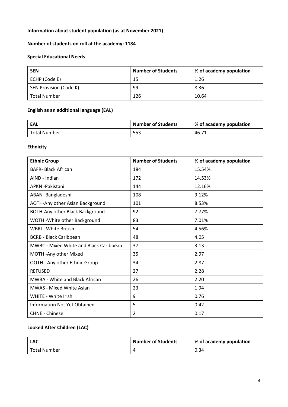# **Information about student population (as at November 2021)**

# **Number of students on roll at the academy: 1184**

# **Special Educational Needs**

| <b>SEN</b>             | <b>Number of Students</b> | % of academy population |
|------------------------|---------------------------|-------------------------|
| ECHP (Code E)          | 15                        | 1.26                    |
| SEN Provision (Code K) | 99                        | 8.36                    |
| <b>Total Number</b>    | 126                       | 10.64                   |

#### **English as an additional language (EAL)**

| EAL                 | <b>Number of Students</b> | % of academy population |
|---------------------|---------------------------|-------------------------|
| <b>Total Number</b> | 553                       | 46.71                   |

#### **Ethnicity**

| <b>Ethnic Group</b>                           | <b>Number of Students</b> | % of academy population |
|-----------------------------------------------|---------------------------|-------------------------|
| <b>BAFR-Black African</b>                     | 184                       | 15.54%                  |
| AIND - Indian                                 | 172                       | 14.53%                  |
| <b>APKN-Pakistani</b>                         | 144                       | 12.16%                  |
| ABAN -Bangladeshi                             | 108                       | 9.12%                   |
| AOTH-Any other Asian Background               | 101                       | 8.53%                   |
| BOTH-Any other Black Background               | 92                        | 7.77%                   |
| WOTH - White other Background                 | 83                        | 7.01%                   |
| WBRI - White British                          | 54                        | 4.56%                   |
| <b>BCRB - Black Caribbean</b>                 | 48                        | 4.05                    |
| <b>MWBC - Mixed White and Black Caribbean</b> | 37                        | 3.13                    |
| MOTH - Any other Mixed                        | 35                        | 2.97                    |
| OOTH - Any other Ethnic Group                 | 34                        | 2.87                    |
| <b>REFUSED</b>                                | 27                        | 2.28                    |
| <b>MWBA - White and Black African</b>         | 26                        | 2.20                    |
| <b>MWAS - Mixed White Asian</b>               | 23                        | 1.94                    |
| <b>WHITE - White Irish</b>                    | 9                         | 0.76                    |
| <b>Information Not Yet Obtained</b>           | 5                         | 0.42                    |
| <b>CHNE - Chinese</b>                         | $\overline{2}$            | 0.17                    |

# **Looked After Children (LAC)**

| <b>LAC</b>   | <b>Number of Students</b> | % of academy population |
|--------------|---------------------------|-------------------------|
| Total Number |                           | 0.34                    |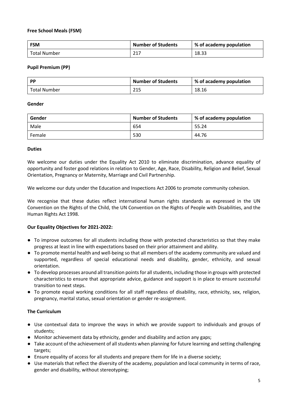# **Free School Meals (FSM)**

| <b>FSM</b>          | <b>Number of Students</b> | % of academy population |
|---------------------|---------------------------|-------------------------|
| <b>Total Number</b> | 217                       | 18.33                   |

#### **Pupil Premium (PP)**

| <b>PP</b>    | <b>Number of Students</b> | % of academy population |
|--------------|---------------------------|-------------------------|
| Total Number | 215                       | 18.16                   |

#### **Gender**

| Gender | <b>Number of Students</b> | % of academy population |
|--------|---------------------------|-------------------------|
| Male   | 654                       | 55.24                   |
| Female | 530                       | 44.76                   |

#### **Duties**

We welcome our duties under the Equality Act 2010 to eliminate discrimination, advance equality of opportunity and foster good relations in relation to Gender, Age, Race, Disability, Religion and Belief, Sexual Orientation, Pregnancy or Maternity, Marriage and Civil Partnership.

We welcome our duty under the Education and Inspections Act 2006 to promote community cohesion.

We recognise that these duties reflect international human rights standards as expressed in the UN Convention on the Rights of the Child, the UN Convention on the Rights of People with Disabilities, and the Human Rights Act 1998.

# **Our Equality Objectives for 2021-2022:**

- To improve outcomes for all students including those with protected characteristics so that they make progress at least in line with expectations based on their prior attainment and ability.
- To promote mental health and well-being so that all members of the academy community are valued and supported, regardless of special educational needs and disability, gender, ethnicity, and sexual orientation.
- To develop processes around all transition points for all students, including those in groups with protected characteristics to ensure that appropriate advice, guidance and support is in place to ensure successful transition to next steps.
- To promote equal working conditions for all staff regardless of disability, race, ethnicity, sex, religion, pregnancy, marital status, sexual orientation or gender re-assignment.

# **The Curriculum**

- Use contextual data to improve the ways in which we provide support to individuals and groups of students;
- Monitor achievement data by ethnicity, gender and disability and action any gaps;
- Take account of the achievement of all students when planning for future learning and setting challenging targets;
- Ensure equality of access for all students and prepare them for life in a diverse society;
- Use materials that reflect the diversity of the academy, population and local community in terms of race, gender and disability, without stereotyping;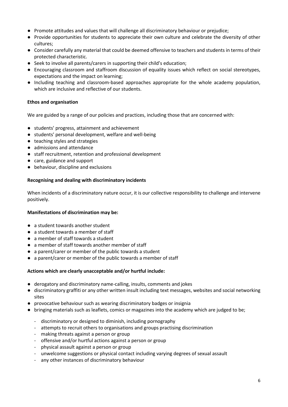- Promote attitudes and values that will challenge all discriminatory behaviour or prejudice;
- Provide opportunities for students to appreciate their own culture and celebrate the diversity of other cultures;
- Consider carefully any material that could be deemed offensive to teachers and students in terms of their protected characteristic.
- Seek to involve all parents/carers in supporting their child's education;
- Encouraging classroom and staffroom discussion of equality issues which reflect on social stereotypes, expectations and the impact on learning;
- Including teaching and classroom-based approaches appropriate for the whole academy population, which are inclusive and reflective of our students.

#### **Ethos and organisation**

We are guided by a range of our policies and practices, including those that are concerned with:

- students' progress, attainment and achievement
- students' personal development, welfare and well-being
- teaching styles and strategies
- admissions and attendance
- staff recruitment, retention and professional development
- care, guidance and support
- behaviour, discipline and exclusions

#### **Recognising and dealing with discriminatory incidents**

When incidents of a discriminatory nature occur, it is our collective responsibility to challenge and intervene positively.

#### **Manifestations of discrimination may be:**

- a student towards another student
- a student towards a member of staff
- a member of staff towards a student
- a member of staff towards another member of staff
- a parent/carer or member of the public towards a student
- a parent/carer or member of the public towards a member of staff

#### **Actions which are clearly unacceptable and/or hurtful include:**

- derogatory and discriminatory name-calling, insults, comments and jokes
- discriminatory graffiti or any other written insult including text messages, websites and social networking sites
- provocative behaviour such as wearing discriminatory badges or insignia
- bringing materials such as leaflets, comics or magazines into the academy which are judged to be;
	- discriminatory or designed to diminish, including pornography
	- attempts to recruit others to organisations and groups practising discrimination
	- making threats against a person or group
	- offensive and/or hurtful actions against a person or group
	- physical assault against a person or group
	- unwelcome suggestions or physical contact including varying degrees of sexual assault
	- any other instances of discriminatory behaviour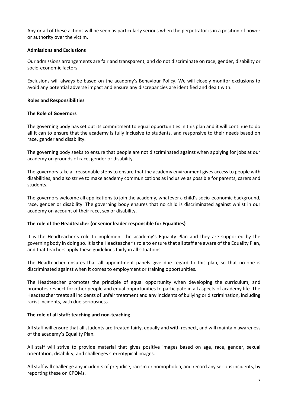Any or all of these actions will be seen as particularly serious when the perpetrator is in a position of power or authority over the victim.

#### **Admissions and Exclusions**

Our admissions arrangements are fair and transparent, and do not discriminate on race, gender, disability or socio-economic factors.

Exclusions will always be based on the academy's Behaviour Policy. We will closely monitor exclusions to avoid any potential adverse impact and ensure any discrepancies are identified and dealt with.

#### **Roles and Responsibilities**

#### **The Role of Governors**

The governing body has set out its commitment to equal opportunities in this plan and it will continue to do all it can to ensure that the academy is fully inclusive to students, and responsive to their needs based on race, gender and disability.

The governing body seeks to ensure that people are not discriminated against when applying for jobs at our academy on grounds of race, gender or disability.

The governors take all reasonable steps to ensure that the academy environment gives access to people with disabilities, and also strive to make academy communications as inclusive as possible for parents, carers and students.

The governors welcome all applications to join the academy, whatever a child's socio-economic background, race, gender or disability. The governing body ensures that no child is discriminated against whilst in our academy on account of their race, sex or disability.

#### **The role of the Headteacher (or senior leader responsible for Equalities)**

It is the Headteacher's role to implement the academy's Equality Plan and they are supported by the governing body in doing so. It is the Headteacher's role to ensure that all staff are aware of the Equality Plan, and that teachers apply these guidelines fairly in all situations.

The Headteacher ensures that all appointment panels give due regard to this plan, so that no-one is discriminated against when it comes to employment or training opportunities.

The Headteacher promotes the principle of equal opportunity when developing the curriculum, and promotes respect for other people and equal opportunities to participate in all aspects of academy life. The Headteacher treats all incidents of unfair treatment and any incidents of bullying or discrimination, including racist incidents, with due seriousness.

#### **The role of all staff: teaching and non-teaching**

All staff will ensure that all students are treated fairly, equally and with respect, and will maintain awareness of the academy's Equality Plan.

All staff will strive to provide material that gives positive images based on age, race, gender, sexual orientation, disability, and challenges stereotypical images.

All staff will challenge any incidents of prejudice, racism or homophobia, and record any serious incidents, by reporting these on CPOMs.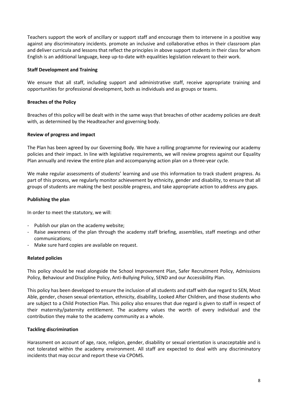Teachers support the work of ancillary or support staff and encourage them to intervene in a positive way against any discriminatory incidents. promote an inclusive and collaborative ethos in their classroom plan and deliver curricula and lessons that reflect the principles in above support students in their class for whom English is an additional language, keep up-to-date with equalities legislation relevant to their work.

#### **Staff Development and Training**

We ensure that all staff, including support and administrative staff, receive appropriate training and opportunities for professional development, both as individuals and as groups or teams.

#### **Breaches of the Policy**

Breaches of this policy will be dealt with in the same ways that breaches of other academy policies are dealt with, as determined by the Headteacher and governing body.

#### **Review of progress and impact**

The Plan has been agreed by our Governing Body. We have a rolling programme for reviewing our academy policies and their impact. In line with legislative requirements, we will review progress against our Equality Plan annually and review the entire plan and accompanying action plan on a three-year cycle.

We make regular assessments of students' learning and use this information to track student progress. As part of this process, we regularly monitor achievement by ethnicity, gender and disability, to ensure that all groups of students are making the best possible progress, and take appropriate action to address any gaps.

#### **Publishing the plan**

In order to meet the statutory, we will:

- Publish our plan on the academy website;
- Raise awareness of the plan through the academy staff briefing, assemblies, staff meetings and other communications;
- Make sure hard copies are available on request.

#### **Related policies**

This policy should be read alongside the School Improvement Plan, Safer Recruitment Policy, Admissions Policy, Behaviour and Discipline Policy, Anti-Bullying Policy, SEND and our Accessibility Plan.

This policy has been developed to ensure the inclusion of all students and staff with due regard to SEN, Most Able, gender, chosen sexual orientation, ethnicity, disability, Looked After Children, and those students who are subject to a Child Protection Plan. This policy also ensures that due regard is given to staff in respect of their maternity/paternity entitlement. The academy values the worth of every individual and the contribution they make to the academy community as a whole.

# **Tackling discrimination**

Harassment on account of age, race, religion, gender, disability or sexual orientation is unacceptable and is not tolerated within the academy environment. All staff are expected to deal with any discriminatory incidents that may occur and report these via CPOMS.